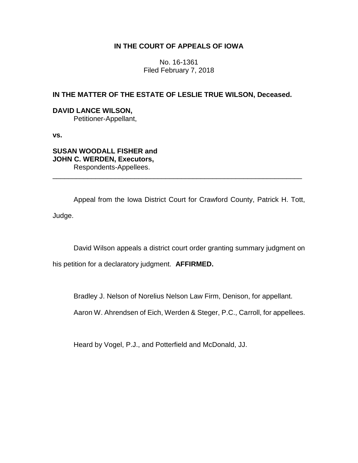# **IN THE COURT OF APPEALS OF IOWA**

No. 16-1361 Filed February 7, 2018

## **IN THE MATTER OF THE ESTATE OF LESLIE TRUE WILSON, Deceased.**

## **DAVID LANCE WILSON,**

Petitioner-Appellant,

**vs.**

**SUSAN WOODALL FISHER and JOHN C. WERDEN, Executors,** Respondents-Appellees.

Appeal from the Iowa District Court for Crawford County, Patrick H. Tott, Judge.

\_\_\_\_\_\_\_\_\_\_\_\_\_\_\_\_\_\_\_\_\_\_\_\_\_\_\_\_\_\_\_\_\_\_\_\_\_\_\_\_\_\_\_\_\_\_\_\_\_\_\_\_\_\_\_\_\_\_\_\_\_\_\_\_

David Wilson appeals a district court order granting summary judgment on

his petition for a declaratory judgment. **AFFIRMED.** 

Bradley J. Nelson of Norelius Nelson Law Firm, Denison, for appellant.

Aaron W. Ahrendsen of Eich, Werden & Steger, P.C., Carroll, for appellees.

Heard by Vogel, P.J., and Potterfield and McDonald, JJ.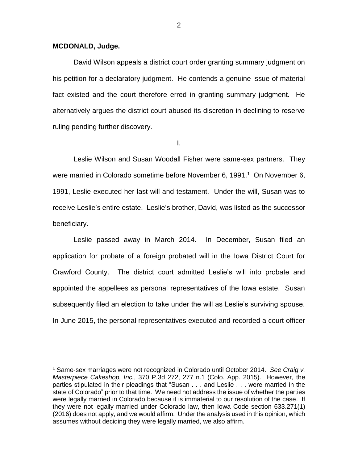#### **MCDONALD, Judge.**

 $\overline{a}$ 

David Wilson appeals a district court order granting summary judgment on his petition for a declaratory judgment. He contends a genuine issue of material fact existed and the court therefore erred in granting summary judgment. He alternatively argues the district court abused its discretion in declining to reserve ruling pending further discovery.

I.

Leslie Wilson and Susan Woodall Fisher were same-sex partners. They were married in Colorado sometime before November 6, 1991.<sup>1</sup> On November 6, 1991, Leslie executed her last will and testament. Under the will, Susan was to receive Leslie's entire estate. Leslie's brother, David, was listed as the successor beneficiary.

Leslie passed away in March 2014. In December, Susan filed an application for probate of a foreign probated will in the Iowa District Court for Crawford County. The district court admitted Leslie's will into probate and appointed the appellees as personal representatives of the Iowa estate. Susan subsequently filed an election to take under the will as Leslie's surviving spouse. In June 2015, the personal representatives executed and recorded a court officer

<sup>1</sup> Same-sex marriages were not recognized in Colorado until October 2014. *See Craig v. Masterpiece Cakeshop, Inc.*, 370 P.3d 272, 277 n.1 (Colo. App. 2015). However, the parties stipulated in their pleadings that "Susan . . . and Leslie . . . were married in the state of Colorado" prior to that time. We need not address the issue of whether the parties were legally married in Colorado because it is immaterial to our resolution of the case. If they were not legally married under Colorado law, then Iowa Code section 633.271(1) (2016) does not apply, and we would affirm. Under the analysis used in this opinion, which assumes without deciding they were legally married, we also affirm.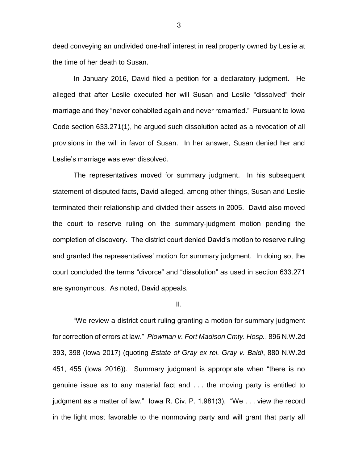deed conveying an undivided one-half interest in real property owned by Leslie at the time of her death to Susan.

In January 2016, David filed a petition for a declaratory judgment. He alleged that after Leslie executed her will Susan and Leslie "dissolved" their marriage and they "never cohabited again and never remarried." Pursuant to Iowa Code section 633.271(1), he argued such dissolution acted as a revocation of all provisions in the will in favor of Susan. In her answer, Susan denied her and Leslie's marriage was ever dissolved.

The representatives moved for summary judgment. In his subsequent statement of disputed facts, David alleged, among other things, Susan and Leslie terminated their relationship and divided their assets in 2005. David also moved the court to reserve ruling on the summary-judgment motion pending the completion of discovery. The district court denied David's motion to reserve ruling and granted the representatives' motion for summary judgment. In doing so, the court concluded the terms "divorce" and "dissolution" as used in section 633.271 are synonymous. As noted, David appeals.

#### II.

"We review a district court ruling granting a motion for summary judgment for correction of errors at law." *Plowman v. Fort Madison Cmty. Hosp.*, 896 N.W.2d 393, 398 (Iowa 2017) (quoting *Estate of Gray ex rel. Gray v. Baldi*, 880 N.W.2d 451, 455 (Iowa 2016)). Summary judgment is appropriate when "there is no genuine issue as to any material fact and . . . the moving party is entitled to judgment as a matter of law." Iowa R. Civ. P. 1.981(3). "We . . . view the record in the light most favorable to the nonmoving party and will grant that party all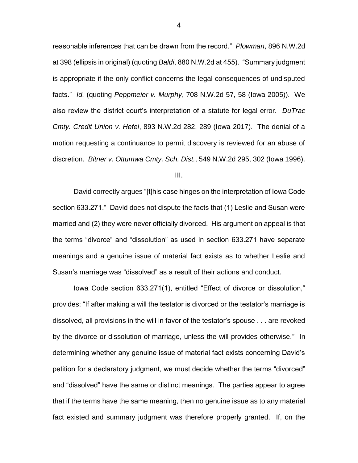reasonable inferences that can be drawn from the record." *Plowman*, 896 N.W.2d at 398 (ellipsis in original) (quoting *Baldi*, 880 N.W.2d at 455). "Summary judgment is appropriate if the only conflict concerns the legal consequences of undisputed facts." *Id.* (quoting *Peppmeier v. Murphy*, 708 N.W.2d 57, 58 (Iowa 2005)). We also review the district court's interpretation of a statute for legal error. *DuTrac Cmty. Credit Union v. Hefel*, 893 N.W.2d 282, 289 (Iowa 2017). The denial of a motion requesting a continuance to permit discovery is reviewed for an abuse of discretion. *Bitner v. Ottumwa Cmty. Sch. Dist.*, 549 N.W.2d 295, 302 (Iowa 1996).

III.

David correctly argues "[t]his case hinges on the interpretation of Iowa Code section 633.271." David does not dispute the facts that (1) Leslie and Susan were married and (2) they were never officially divorced. His argument on appeal is that the terms "divorce" and "dissolution" as used in section 633.271 have separate meanings and a genuine issue of material fact exists as to whether Leslie and Susan's marriage was "dissolved" as a result of their actions and conduct.

Iowa Code section 633.271(1), entitled "Effect of divorce or dissolution," provides: "If after making a will the testator is divorced or the testator's marriage is dissolved, all provisions in the will in favor of the testator's spouse . . . are revoked by the divorce or dissolution of marriage, unless the will provides otherwise." In determining whether any genuine issue of material fact exists concerning David's petition for a declaratory judgment, we must decide whether the terms "divorced" and "dissolved" have the same or distinct meanings. The parties appear to agree that if the terms have the same meaning, then no genuine issue as to any material fact existed and summary judgment was therefore properly granted. If, on the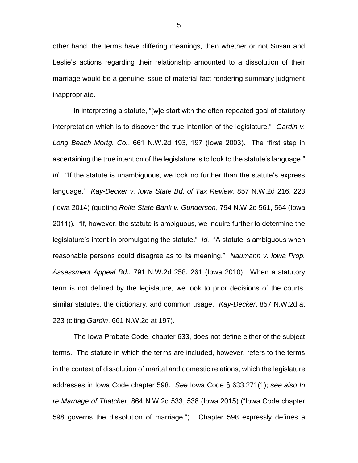other hand, the terms have differing meanings, then whether or not Susan and Leslie's actions regarding their relationship amounted to a dissolution of their marriage would be a genuine issue of material fact rendering summary judgment inappropriate.

In interpreting a statute, "[w]e start with the often-repeated goal of statutory interpretation which is to discover the true intention of the legislature." *Gardin v. Long Beach Mortg. Co.*, 661 N.W.2d 193, 197 (Iowa 2003). The "first step in ascertaining the true intention of the legislature is to look to the statute's language." *Id.* "If the statute is unambiguous, we look no further than the statute's express language." *Kay-Decker v. Iowa State Bd. of Tax Review*, 857 N.W.2d 216, 223 (Iowa 2014) (quoting *Rolfe State Bank v. Gunderson*, 794 N.W.2d 561, 564 (Iowa 2011)). "If, however, the statute is ambiguous, we inquire further to determine the legislature's intent in promulgating the statute." *Id.* "A statute is ambiguous when reasonable persons could disagree as to its meaning." *Naumann v. Iowa Prop. Assessment Appeal Bd.*, 791 N.W.2d 258, 261 (Iowa 2010). When a statutory term is not defined by the legislature, we look to prior decisions of the courts, similar statutes, the dictionary, and common usage. *Kay-Decker*, 857 N.W.2d at 223 (citing *Gardin*, 661 N.W.2d at 197).

The Iowa Probate Code, chapter 633, does not define either of the subject terms. The statute in which the terms are included, however, refers to the terms in the context of dissolution of marital and domestic relations, which the legislature addresses in Iowa Code chapter 598. *See* Iowa Code § 633.271(1); *see also In re Marriage of Thatcher*, 864 N.W.2d 533, 538 (Iowa 2015) ("Iowa Code chapter 598 governs the dissolution of marriage."). Chapter 598 expressly defines a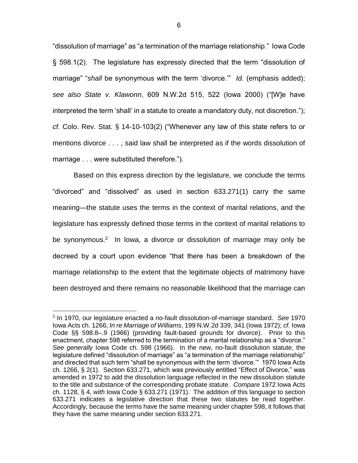"dissolution of marriage" as "a termination of the marriage relationship." Iowa Code § 598.1(2). The legislature has expressly directed that the term "dissolution of marriage" "*shall* be synonymous with the term 'divorce.'" *Id.* (emphasis added); *see also State v. Klawonn*, 609 N.W.2d 515, 522 (Iowa 2000) ("[W]e have interpreted the term 'shall' in a statute to create a mandatory duty, not discretion."); *cf.* Colo. Rev. Stat. § 14-10-103(2) ("Whenever any law of this state refers to or mentions divorce . . . , said law shall be interpreted as if the words dissolution of marriage . . . were substituted therefore.").

Based on this express direction by the legislature, we conclude the terms "divorced" and "dissolved" as used in section 633.271(1) carry the same meaning—the statute uses the terms in the context of marital relations, and the legislature has expressly defined those terms in the context of marital relations to be synonymous.<sup>2</sup> In Iowa, a divorce or dissolution of marriage may only be decreed by a court upon evidence "that there has been a breakdown of the marriage relationship to the extent that the legitimate objects of matrimony have been destroyed and there remains no reasonable likelihood that the marriage can

 $\overline{a}$ 

<sup>2</sup> In 1970, our legislature enacted a no-fault dissolution-of-marriage standard. *See* 1970 Iowa Acts ch. 1266; *In re Marriage of Williams*, 199 N.W.2d 339, 341 (Iowa 1972); *cf.* Iowa Code §§ 598.8–.9 (1966) (providing fault-based grounds for divorce). Prior to this enactment, chapter 598 referred to the termination of a marital relationship as a "divorce." *See generally* Iowa Code ch. 598 (1966). In the new, no-fault dissolution statute, the legislature defined "dissolution of marriage" as "a termination of the marriage relationship" and directed that such term "shall be synonymous with the term 'divorce.'" 1970 Iowa Acts ch. 1266, § 2(1). Section 633.271, which was previously entitled "Effect of Divorce," was amended in 1972 to add the dissolution language reflected in the new dissolution statute to the title and substance of the corresponding probate statute. *Compare* 1972 Iowa Acts ch. 1128, § 4, *with* Iowa Code § 633.271 (1971). The addition of this language to section 633.271 indicates a legislative direction that these two statutes be read together. Accordingly, because the terms have the same meaning under chapter 598, it follows that they have the same meaning under section 633.271.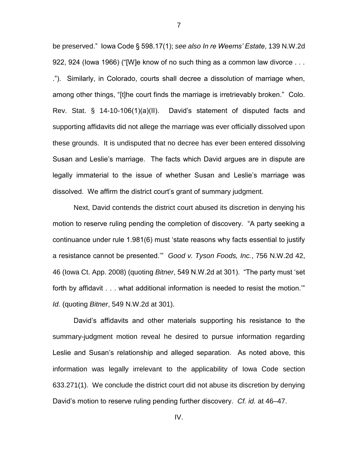be preserved." Iowa Code § 598.17(1); *see also In re Weems' Estate*, 139 N.W.2d 922, 924 (Iowa 1966) ("[W]e know of no such thing as a common law divorce . . . ."). Similarly, in Colorado, courts shall decree a dissolution of marriage when, among other things, "[t]he court finds the marriage is irretrievably broken." Colo. Rev. Stat. § 14-10-106(1)(a)(II). David's statement of disputed facts and supporting affidavits did not allege the marriage was ever officially dissolved upon these grounds. It is undisputed that no decree has ever been entered dissolving Susan and Leslie's marriage. The facts which David argues are in dispute are legally immaterial to the issue of whether Susan and Leslie's marriage was dissolved. We affirm the district court's grant of summary judgment.

Next, David contends the district court abused its discretion in denying his motion to reserve ruling pending the completion of discovery. "A party seeking a continuance under rule 1.981(6) must 'state reasons why facts essential to justify a resistance cannot be presented.'" *Good v. Tyson Foods, Inc.*, 756 N.W.2d 42, 46 (Iowa Ct. App. 2008) (quoting *Bitner*, 549 N.W.2d at 301). "The party must 'set forth by affidavit . . . what additional information is needed to resist the motion.'" *Id.* (quoting *Bitner*, 549 N.W.2d at 301).

David's affidavits and other materials supporting his resistance to the summary-judgment motion reveal he desired to pursue information regarding Leslie and Susan's relationship and alleged separation. As noted above, this information was legally irrelevant to the applicability of Iowa Code section 633.271(1). We conclude the district court did not abuse its discretion by denying David's motion to reserve ruling pending further discovery. *Cf. id.* at 46–47.

7

IV.